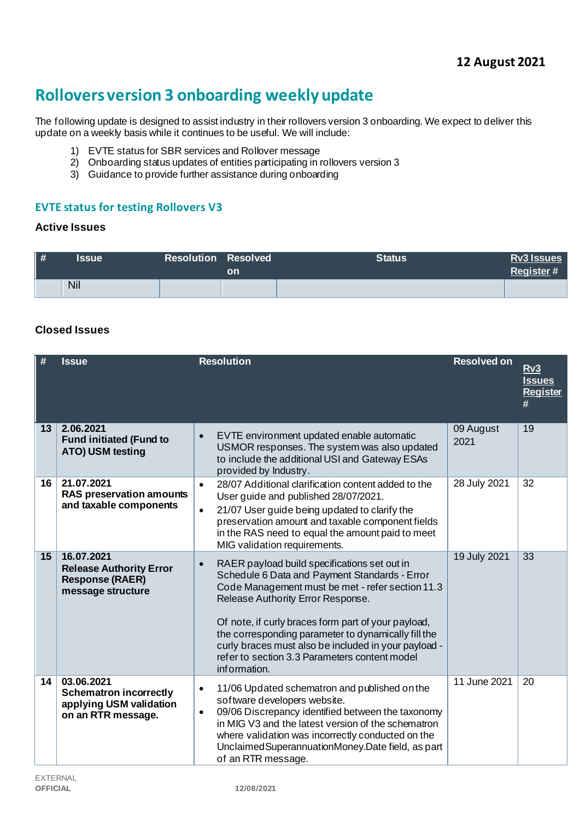# **Rollovers version 3 onboarding weekly update**

The following update is designed to assist industry in their rollovers version 3 onboarding. We expect to deliver this update on a weekly basis while it continues to be useful. We will include:

- 1) EVTE status for SBR services and Rollover message
- 2) Onboarding status updates of entities participating in rollovers version 3
- 3) Guidance to provide further assistance during onboarding

## **EVTE status for testing Rollovers V3**

#### **Active Issues**

| $\parallel$ # | <b>Issue</b> | <b>Resolution Resolved</b> | <b>on</b> | <b>Status</b> | <b>Rv3 Issues</b><br><b>Register#</b> |
|---------------|--------------|----------------------------|-----------|---------------|---------------------------------------|
|               | Nil          |                            |           |               |                                       |

## **Closed Issues**

| #  | <b>Issue</b>                                                                                 | <b>Resolution</b>                                                                                                                                                                                                                                                                                                                                                                                                                          | <b>Resolved on</b> | Rv3<br><b>Issues</b><br><b>Register</b><br># |
|----|----------------------------------------------------------------------------------------------|--------------------------------------------------------------------------------------------------------------------------------------------------------------------------------------------------------------------------------------------------------------------------------------------------------------------------------------------------------------------------------------------------------------------------------------------|--------------------|----------------------------------------------|
| 13 | 2.06.2021<br><b>Fund initiated (Fund to</b><br>ATO) USM testing                              | EVTE environment updated enable automatic<br>$\bullet$<br>USMOR responses. The system was also updated<br>to include the additional USI and Gateway ESAs<br>provided by Industry.                                                                                                                                                                                                                                                          | 09 August<br>2021  | 19                                           |
| 16 | 21.07.2021<br><b>RAS preservation amounts</b><br>and taxable components                      | 28/07 Additional clarification content added to the<br>$\bullet$<br>User guide and published 28/07/2021.<br>21/07 User guide being updated to clarify the<br>$\bullet$<br>preservation amount and taxable component fields<br>in the RAS need to equal the amount paid to meet<br>MIG validation requirements.                                                                                                                             | 28 July 2021       | 32                                           |
| 15 | 16.07.2021<br><b>Release Authority Error</b><br><b>Response (RAER)</b><br>message structure  | RAER payload build specifications set out in<br>$\bullet$<br>Schedule 6 Data and Payment Standards - Error<br>Code Management must be met - refer section 11.3<br>Release Authority Error Response.<br>Of note, if curly braces form part of your payload,<br>the corresponding parameter to dynamically fill the<br>curly braces must also be included in your payload -<br>refer to section 3.3 Parameters content model<br>information. | 19 July 2021       | $\overline{33}$                              |
| 14 | 03.06.2021<br><b>Schematron incorrectly</b><br>applying USM validation<br>on an RTR message. | 11/06 Updated schematron and published on the<br>$\bullet$<br>software developers website.<br>09/06 Discrepancy identified between the taxonomy<br>$\bullet$<br>in MIG V3 and the latest version of the schematron<br>where validation was incorrectly conducted on the<br>Unclaimed Superannuation Money. Date field, as part<br>of an RTR message.                                                                                       | 11 June 2021       | 20                                           |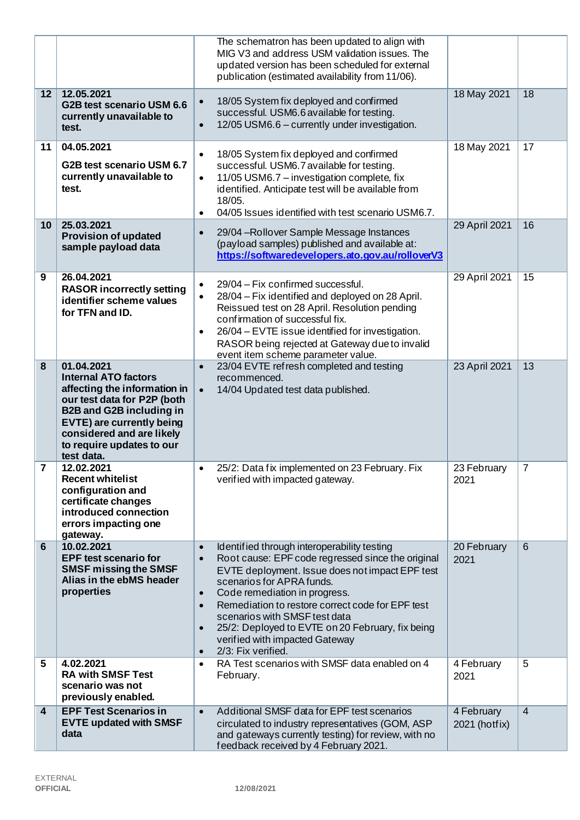|    |                                                                                                                                                                                                                                                         | The schematron has been updated to align with<br>MIG V3 and address USM validation issues. The<br>updated version has been scheduled for external<br>publication (estimated availability from 11/06).                                                                                                                                                                                                                                                                                            |                             |                |
|----|---------------------------------------------------------------------------------------------------------------------------------------------------------------------------------------------------------------------------------------------------------|--------------------------------------------------------------------------------------------------------------------------------------------------------------------------------------------------------------------------------------------------------------------------------------------------------------------------------------------------------------------------------------------------------------------------------------------------------------------------------------------------|-----------------------------|----------------|
| 12 | 12.05.2021<br>G2B test scenario USM 6.6<br>currently unavailable to<br>test.                                                                                                                                                                            | 18/05 System fix deployed and confirmed<br>$\bullet$<br>successful. USM6.6 available for testing.<br>12/05 USM6.6 - currently under investigation.<br>$\bullet$                                                                                                                                                                                                                                                                                                                                  | 18 May 2021                 | 18             |
| 11 | 04.05.2021<br>G2B test scenario USM 6.7<br>currently unavailable to<br>test.                                                                                                                                                                            | 18/05 System fix deployed and confirmed<br>$\bullet$<br>successful. USM6.7 available for testing.<br>11/05 USM6.7 - investigation complete, fix<br>$\bullet$<br>identified. Anticipate test will be available from<br>18/05.<br>04/05 Issues identified with test scenario USM6.7.<br>$\bullet$                                                                                                                                                                                                  | 18 May 2021                 | 17             |
| 10 | 25.03.2021<br><b>Provision of updated</b><br>sample payload data                                                                                                                                                                                        | 29/04 - Rollover Sample Message Instances<br>$\bullet$<br>(payload samples) published and available at:<br>https://softwaredevelopers.ato.gov.au/rolloverV3                                                                                                                                                                                                                                                                                                                                      | 29 April 2021               | 16             |
| 9  | 26.04.2021<br><b>RASOR incorrectly setting</b><br>identifier scheme values<br>for TFN and ID.                                                                                                                                                           | 29/04 - Fix confirmed successful.<br>$\bullet$<br>28/04 – Fix identified and deployed on 28 April.<br>$\bullet$<br>Reissued test on 28 April. Resolution pending<br>confirmation of successful fix.<br>26/04 - EVTE issue identified for investigation.<br>$\bullet$<br>RASOR being rejected at Gateway due to invalid<br>event item scheme parameter value.                                                                                                                                     | 29 April 2021               | 15             |
| 8  | 01.04.2021<br><b>Internal ATO factors</b><br>affecting the information in<br>our test data for P2P (both<br><b>B2B and G2B including in</b><br><b>EVTE) are currently being</b><br>considered and are likely<br>to require updates to our<br>test data. | 23/04 EVTE refresh completed and testing<br>$\bullet$<br>recommenced.<br>14/04 Updated test data published.<br>$\bullet$                                                                                                                                                                                                                                                                                                                                                                         | 23 April 2021               | 13             |
| 7  | 12.02.2021<br><b>Recent whitelist</b><br>configuration and<br>certificate changes<br>introduced connection<br>errors impacting one<br>gateway.                                                                                                          | 25/2: Data fix implemented on 23 February. Fix<br>$\bullet$<br>verified with impacted gateway.                                                                                                                                                                                                                                                                                                                                                                                                   | 23 February<br>2021         | $\overline{7}$ |
| 6  | 10.02.2021<br><b>EPF test scenario for</b><br><b>SMSF missing the SMSF</b><br>Alias in the ebMS header<br>properties                                                                                                                                    | Identified through interoperability testing<br>$\bullet$<br>Root cause: EPF code regressed since the original<br>$\bullet$<br>EVTE deployment. Issue does not impact EPF test<br>scenarios for APRA funds.<br>Code remediation in progress.<br>$\bullet$<br>Remediation to restore correct code for EPF test<br>$\bullet$<br>scenarios with SMSF test data<br>25/2: Deployed to EVTE on 20 February, fix being<br>$\bullet$<br>verified with impacted Gateway<br>2/3: Fix verified.<br>$\bullet$ | 20 February<br>2021         | 6              |
| 5  | 4.02.2021<br><b>RA with SMSF Test</b><br>scenario was not<br>previously enabled.                                                                                                                                                                        | RA Test scenarios with SMSF data enabled on 4<br>$\bullet$<br>February.                                                                                                                                                                                                                                                                                                                                                                                                                          | 4 February<br>2021          | 5              |
| 4  | <b>EPF Test Scenarios in</b><br><b>EVTE updated with SMSF</b><br>data                                                                                                                                                                                   | Additional SMSF data for EPF test scenarios<br>$\bullet$<br>circulated to industry representatives (GOM, ASP<br>and gateways currently testing) for review, with no<br>feedback received by 4 February 2021.                                                                                                                                                                                                                                                                                     | 4 February<br>2021 (hotfix) | $\overline{4}$ |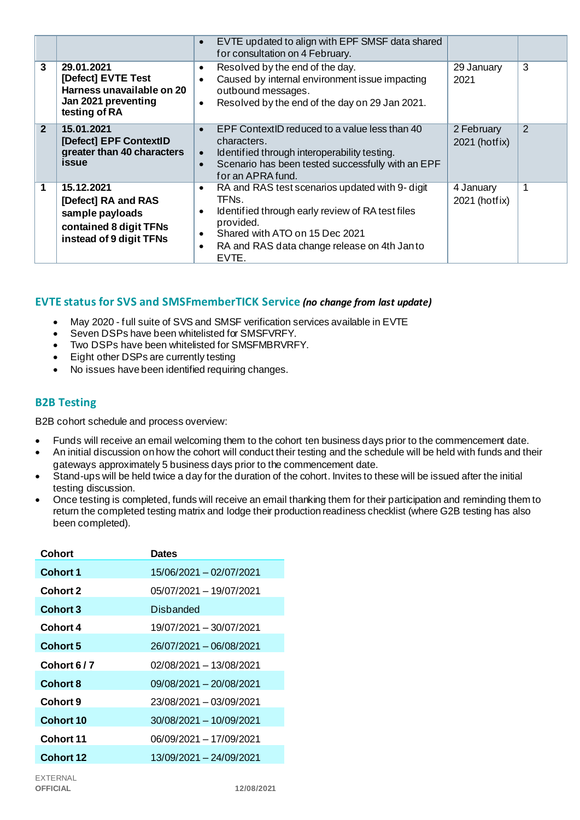|                |                                                                                                           | EVTE updated to align with EPF SMSF data shared<br>$\bullet$<br>for consultation on 4 February.                                                                                                                                                                                      |                             |   |
|----------------|-----------------------------------------------------------------------------------------------------------|--------------------------------------------------------------------------------------------------------------------------------------------------------------------------------------------------------------------------------------------------------------------------------------|-----------------------------|---|
| 3              | 29.01.2021<br>[Defect] EVTE Test<br>Harness unavailable on 20<br>Jan 2021 preventing<br>testing of RA     | Resolved by the end of the day.<br>٠<br>Caused by internal environment issue impacting<br>$\bullet$<br>outbound messages.<br>Resolved by the end of the day on 29 Jan 2021.<br>$\bullet$                                                                                             | 29 January<br>2021          | 3 |
| $\overline{2}$ | 15.01.2021<br>[Defect] EPF ContextID<br>greater than 40 characters<br><i>issue</i>                        | EPF ContextID reduced to a value less than 40<br>$\bullet$<br>characters.<br>Identified through interoperability testing.<br>$\bullet$<br>Scenario has been tested successfully with an EPF<br>$\bullet$<br>for an APRA fund.                                                        | 2 February<br>2021 (hotfix) | 2 |
| 1              | 15.12.2021<br>[Defect] RA and RAS<br>sample payloads<br>contained 8 digit TFNs<br>instead of 9 digit TFNs | RA and RAS test scenarios updated with 9- digit<br>$\bullet$<br>TFN <sub>s</sub> .<br>Identified through early review of RA test files<br>$\bullet$<br>provided.<br>Shared with ATO on 15 Dec 2021<br>$\bullet$<br>RA and RAS data change release on 4th Janto<br>$\bullet$<br>EVTE. | 4 January<br>2021 (hotfix)  |   |

## **EVTE status for SVS and SMSFmemberTICK Service** *(no change from last update)*

- May 2020 full suite of SVS and SMSF verification services available in EVTE
- Seven DSPs have been whitelisted for SMSFVRFY.
- Two DSPs have been whitelisted for SMSFMBRVRFY.
- Eight other DSPs are currently testing
- No issues have been identified requiring changes.

## **B2B Testing**

B2B cohort schedule and process overview:

- Funds will receive an email welcoming them to the cohort ten business days prior to the commencement date.
- An initial discussion on how the cohort will conduct their testing and the schedule will be held with funds and their gateways approximately 5 business days prior to the commencement date.
- Stand-ups will be held twice a day for the duration of the cohort. Invites to these will be issued after the initial testing discussion.
- Once testing is completed, funds will receive an email thanking them for their participation and reminding them to return the completed testing matrix and lodge their production readiness checklist (where G2B testing has also been completed).

| Cohort           | <b>Dates</b>            |
|------------------|-------------------------|
| Cohort 1         | 15/06/2021 - 02/07/2021 |
| <b>Cohort 2</b>  | 05/07/2021 - 19/07/2021 |
| <b>Cohort 3</b>  | Disbanded               |
| Cohort 4         | 19/07/2021 - 30/07/2021 |
| <b>Cohort 5</b>  | 26/07/2021 - 06/08/2021 |
| Cohort 6/7       | 02/08/2021 - 13/08/2021 |
| <b>Cohort 8</b>  | 09/08/2021 - 20/08/2021 |
| <b>Cohort 9</b>  | 23/08/2021 - 03/09/2021 |
| Cohort 10        | 30/08/2021 - 10/09/2021 |
| Cohort 11        | 06/09/2021 - 17/09/2021 |
| <b>Cohort 12</b> | 13/09/2021 - 24/09/2021 |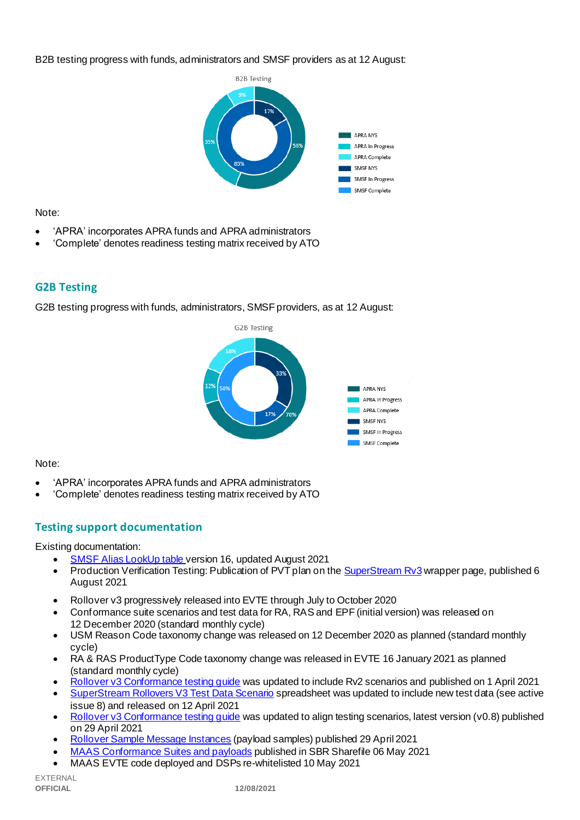B2B testing progress with funds, administrators and SMSF providers as at 12 August:



Note:

- 'APRA' incorporates APRA funds and APRA administrators
- 'Complete' denotes readiness testing matrix received by ATO

## **G2B Testing**

G2B testing progress with funds, administrators, SMSF providers, as at 12 August:



Note:

- 'APRA' incorporates APRA funds and APRA administrators
- 'Complete' denotes readiness testing matrix received by ATO

## **Testing support documentation**

Existing documentation:

- [SMSF Alias LookUp table v](https://softwaredevelopers.ato.gov.au/sites/default/files/2021-08/SMSF_Alias_LookUp_version_16.xlsx)ersion 16, updated August 2021
- Production Verification Testing: Publication of PVT plan on th[e SuperStream Rv3](https://www.ato.gov.au/Super/Sup/SuperStream-Rollover-v3/?=redirected_rolloverv3) wrapper page, published 6 August 2021
- Rollover v3 progressively released into EVTE through July to October 2020
- Conformance suite scenarios and test data for RA, RAS and EPF (initial version) was released on 12 December 2020 (standard monthly cycle)
- USM Reason Code taxonomy change was released on 12 December 2020 as planned (standard monthly cycle)
- RA & RAS ProductType Code taxonomy change was released in EVTE 16 January 2021 as planned (standard monthly cycle)
- [Rollover v3 Conformance testing guide](https://softwaredevelopers.ato.gov.au/rolloverV3) was updated to include Rv2 scenarios and published on 1 April 2021
- [SuperStream Rollovers V3 Test Data Scenario](https://softwaredevelopers.ato.gov.au/sites/default/files/2021-04/SuperStream_RolloversV3_Test_Data_Scenario_V1.0.xlsx) spreadsheet was updated to include new test data (see active issue 8) and released on 12 April 2021
- Rollover v3 Conformance testing quide was updated to align testing scenarios, latest version (v0.8) published on 29 April 2021
- [Rollover Sample Message Instances](https://softwaredevelopers.ato.gov.au/rolloverV3) (payload samples) published 29 April 2021
- [MAAS Conformance Suites and payloads](https://standardbusinessreporting.sharefile.com/home/shared/fod63f12-7bbb-4c61-96e7-33dc9eae4d9a) published in SBR Sharefile 06 May 2021
- MAAS EVTE code deployed and DSPs re-whitelisted 10 May 2021